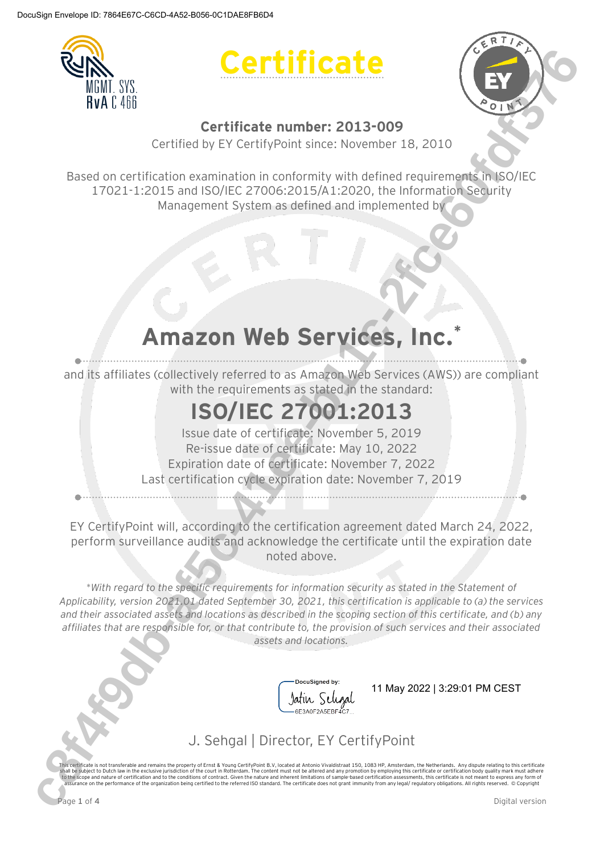





### **Certificate number: 2013-009**

Certified by EY CertifyPoint since: November 18, 2010

Based on certification examination in conformity with defined requirements in ISO/IEC 17021-1:2015 and ISO/IEC 27006:2015/A1:2020, the Information Security Management System as defined and implemented by

# **Amazon Web Services, Inc.\***

and its affiliates (collectively referred to as Amazon Web Services (AWS)) are compliant with the requirements as stated in the standard:

# **ISO/IEC 27001:2013**

Issue date of certificate: November 5, 2019 Re-issue date of certificate: May 10, 2022 Expiration date of certificate: November 7, 2022 Last certification cycle expiration date: November 7, 2019

EY CertifyPoint will, according to the certification agreement dated March 24, 2022, perform surveillance audits and acknowledge the certificate until the expiration date noted above.

*\*With regard to the specific requirements for information security as stated in the Statement of Applicability, version 2021.01 dated September 30, 2021, this certification is applicable to (a) the services and their associated assets and locations as described in the scoping section of this certificate, and (b) any affiliates that are responsible for, or that contribute to, the provision of such services and their associated assets and locations.* THE TRANSFER CONTINUES CONTINUES CONTINUES CONTINUES CONTINUES CONTINUES CONTINUES CONTINUES CONTINUES CONTINUES CONTINUES CONTINUES CONTINUES CONTINUES CONTINUES CONTINUES CONTINUES CONTINUES CONTINUES CONTINUES CONTINU



## J. Sehgal | Director, EY CertifyPoint

This certificate is not transferable and remains the property of Ernst & Young CertifyPoint B.V, located at Antonio Vivaldistraat 150, 1083 HP, Amsterdam, the Netherlands. Any dispute relating to this certificate is not co assurance on the performance of the organization being certified to the referred ISO standard. The certificate does not grant immunity from any legal/ regulatory obligations. All rights reserved. © Copyright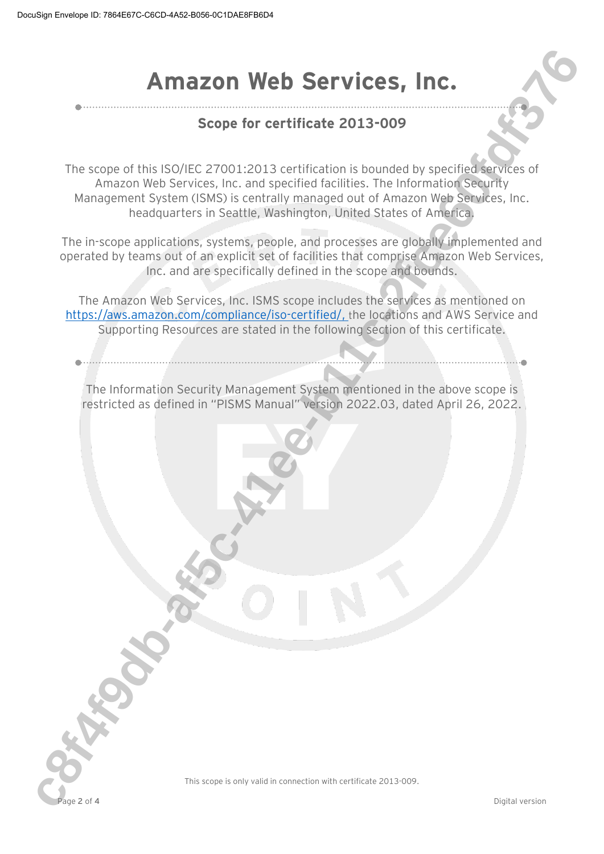# **Amazon Web Services, Inc.**

### **Scope for certificate 2013-009**

The scope of this ISO/IEC 27001:2013 certification is bounded by specified services of Amazon Web Services, Inc. and specified facilities. The Information Security Management System (ISMS) is centrally managed out of Amazon Web Services, Inc. headquarters in Seattle, Washington, United States of America. **c8f4f9db-af5c-41ee-b11c-2fce60fdf376**

The in-scope applications, systems, people, and processes are globally implemented and operated by teams out of an explicit set of facilities that comprise Amazon Web Services, Inc. and are specifically defined in the scope and bounds.

The Amazon Web Services, Inc. ISMS scope includes the services as mentioned on https://aws.amazon.com/compliance/iso-certified/, the locations and AWS Service and Supporting Resources are stated in the following section of this certificate.

The Information Security Management System mentioned in the above scope is restricted as defined in "PISMS Manual" version 2022.03, dated April 26, 2022.



This scope is only valid in connection with certificate 2013-009.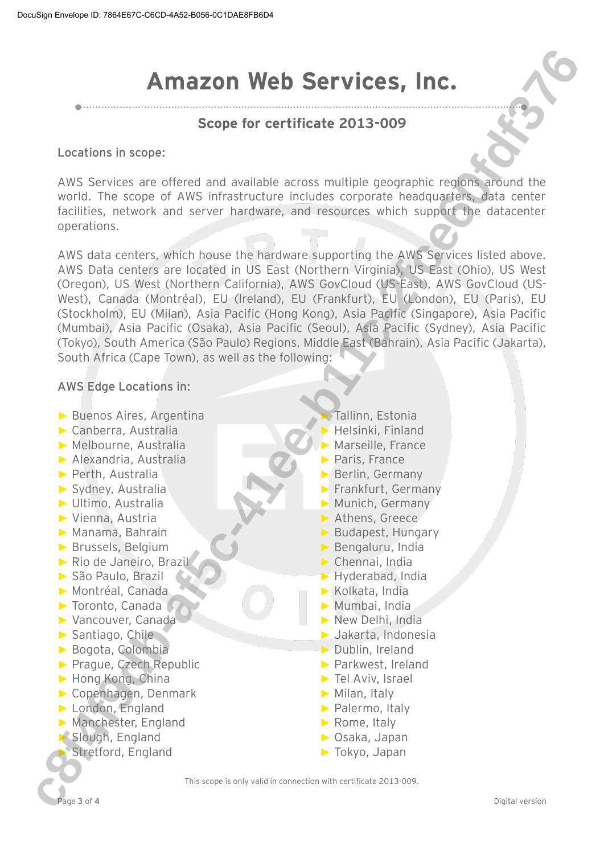# **Amazon Web Services, Inc.**

### **Scope for certificate 2013-009**

**Locations in scope:**

AWS Services are offered and available across multiple geographic regions around the world. The scope of AWS infrastructure includes corporate headquarters, data center facilities, network and server hardware, and resources which support the datacenter operations.

AWS data centers, which house the hardware supporting the AWS Services listed above. AWS Data centers are located in US East (Northern Virginia), US East (Ohio), US West (Oregon), US West (Northern California), AWS GovCloud (US-East), AWS GovCloud (US-West), Canada (Montréal), EU (Ireland), EU (Frankfurt), EU (London), EU (Paris), EU (Stockholm), EU (Milan), Asia Pacific (Hong Kong), Asia Pacific (Singapore), Asia Pacific (Mumbai), Asia Pacific (Osaka), Asia Pacific (Seoul), Asia Pacific (Sydney), Asia Pacific (Tokyo), South America (São Paulo) Regions, Middle East (Bahrain), Asia Pacific (Jakarta), South Africa (Cape Town), as well as the following: **c8f4f9db-af5c-41ee-b11c-2fce60fdf376**

### **AWS Edge Locations in:**

- ► Buenos Aires, Argentina
- ► Canberra, Australia
- ► Melbourne, Australia
- ► Alexandria, Australia
- ► Perth, Australia
- ► Sydney, Australia
- ► Ultimo, Australia
- ► Vienna, Austria
- ► Manama, Bahrain
- ► Brussels, Belgium
- ► Rio de Janeiro, Brazil
- ► São Paulo, Brazil
- ► Montréal, Canada
- ► Toronto, Canada
- ► Vancouver, Canada
- ► Santiago, Chile
- ► Bogota, Colombia
- ► Prague, Czech Republic
- ► Hong Kong, China
- ► Copenhagen, Denmark
- ► London, England
- ► Manchester, England
- ► Slough, England
- ► Stretford, England
- Tallinn, Estonia
- ► Helsinki, Finland
- Marseille, France
- ► Paris, France
- ► Berlin, Germany
- ► Frankfurt, Germany
- ► Munich, Germany
- ► Athens, Greece
- ► Budapest, Hungary
- ► Bengaluru, India
- ► Chennai, India
- ► Hyderabad, India
- ► Kolkata, India
- ► Mumbai, India
- ► New Delhi, India
- ► Jakarta, Indonesia
- ► Dublin, Ireland
- ► Parkwest, Ireland
- ► Tel Aviv, Israel
- ► Milan, Italy
- ► Palermo, Italy
- ► Rome, Italy
- ► Osaka, Japan
- ► Tokyo, Japan

This scope is only valid in connection with certificate 2013-009.